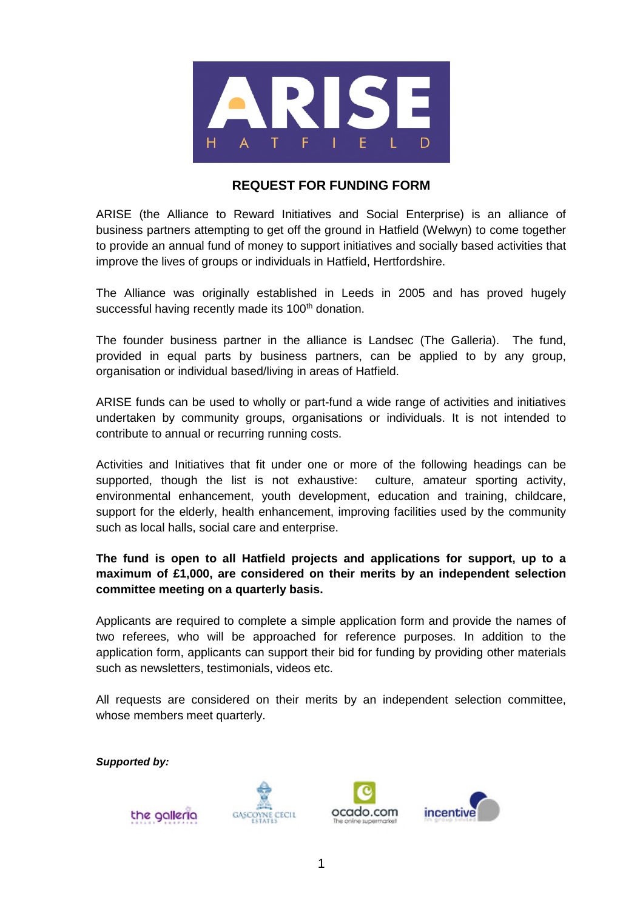

## **REQUEST FOR FUNDING FORM**

ARISE (the Alliance to Reward Initiatives and Social Enterprise) is an alliance of business partners attempting to get off the ground in Hatfield (Welwyn) to come together to provide an annual fund of money to support initiatives and socially based activities that improve the lives of groups or individuals in Hatfield, Hertfordshire.

The Alliance was originally established in Leeds in 2005 and has proved hugely successful having recently made its 100<sup>th</sup> donation.

The founder business partner in the alliance is Landsec (The Galleria). The fund, provided in equal parts by business partners, can be applied to by any group, organisation or individual based/living in areas of Hatfield.

ARISE funds can be used to wholly or part-fund a wide range of activities and initiatives undertaken by community groups, organisations or individuals. It is not intended to contribute to annual or recurring running costs.

Activities and Initiatives that fit under one or more of the following headings can be supported, though the list is not exhaustive: culture, amateur sporting activity, environmental enhancement, youth development, education and training, childcare, support for the elderly, health enhancement, improving facilities used by the community such as local halls, social care and enterprise.

**The fund is open to all Hatfield projects and applications for support, up to a maximum of £1,000, are considered on their merits by an independent selection committee meeting on a quarterly basis.**

Applicants are required to complete a simple application form and provide the names of two referees, who will be approached for reference purposes. In addition to the application form, applicants can support their bid for funding by providing other materials such as newsletters, testimonials, videos etc.

All requests are considered on their merits by an independent selection committee, whose members meet quarterly.

*Supported by:*

the galleria





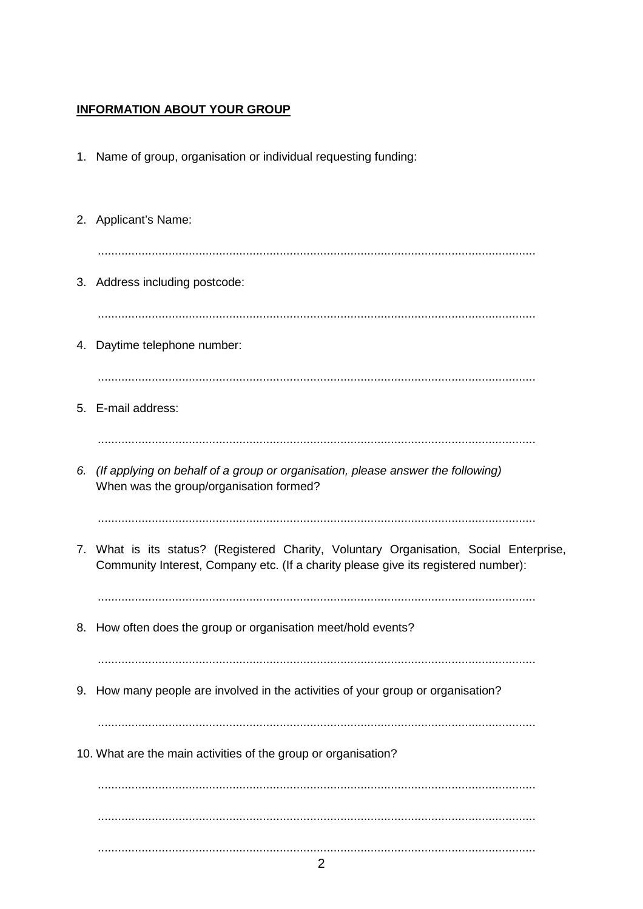# **INFORMATION ABOUT YOUR GROUP**

- 1. Name of group, organisation or individual requesting funding:
- 2. Applicant's Name: 3. Address including postcode: 4. Daytime telephone number: 5. E-mail address: 6. (If applying on behalf of a group or organisation, please answer the following) When was the group/organisation formed? 7. What is its status? (Registered Charity, Voluntary Organisation, Social Enterprise, Community Interest, Company etc. (If a charity please give its registered number): 8. How often does the group or organisation meet/hold events? 9. How many people are involved in the activities of your group or organisation? 10. What are the main activities of the group or organisation?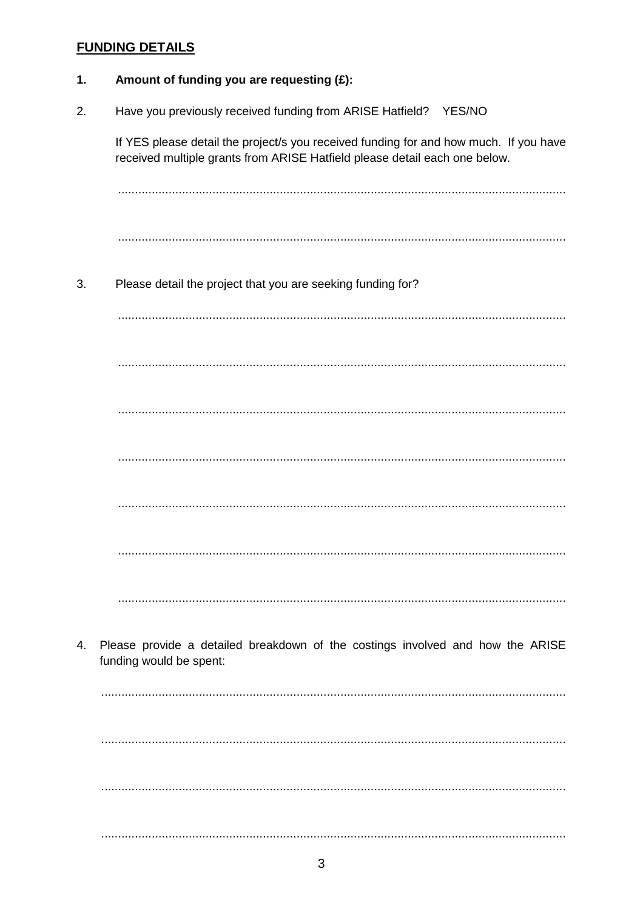# **FUNDING DETAILS**

| 1. | Amount of funding you are requesting (£):                                                                                                                           |
|----|---------------------------------------------------------------------------------------------------------------------------------------------------------------------|
| 2. | Have you previously received funding from ARISE Hatfield?<br>YES/NO                                                                                                 |
|    | If YES please detail the project/s you received funding for and how much. If you have<br>received multiple grants from ARISE Hatfield please detail each one below. |
|    |                                                                                                                                                                     |
|    |                                                                                                                                                                     |
| 3. | Please detail the project that you are seeking funding for?                                                                                                         |
|    |                                                                                                                                                                     |
|    |                                                                                                                                                                     |
|    |                                                                                                                                                                     |
|    |                                                                                                                                                                     |
|    |                                                                                                                                                                     |
|    |                                                                                                                                                                     |
|    |                                                                                                                                                                     |
| 4. | Please provide a detailed breakdown of the costings involved and how the ARISE<br>funding would be spent:                                                           |
|    |                                                                                                                                                                     |
|    |                                                                                                                                                                     |
|    |                                                                                                                                                                     |
|    |                                                                                                                                                                     |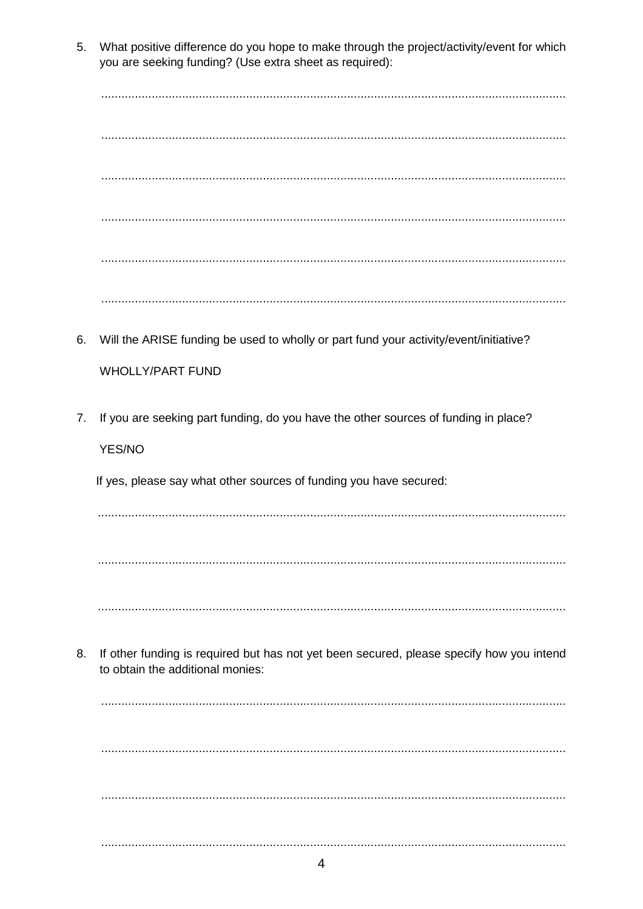5. What positive difference do you hope to make through the project/activity/event for which you are seeking funding? (Use extra sheet as required):

6. Will the ARISE funding be used to wholly or part fund your activity/event/initiative? **WHOLLY/PART FUND** 7. If you are seeking part funding, do you have the other sources of funding in place? YES/NO If yes, please say what other sources of funding you have secured: 

If other funding is required but has not yet been secured, please specify how you intend 8. to obtain the additional monies: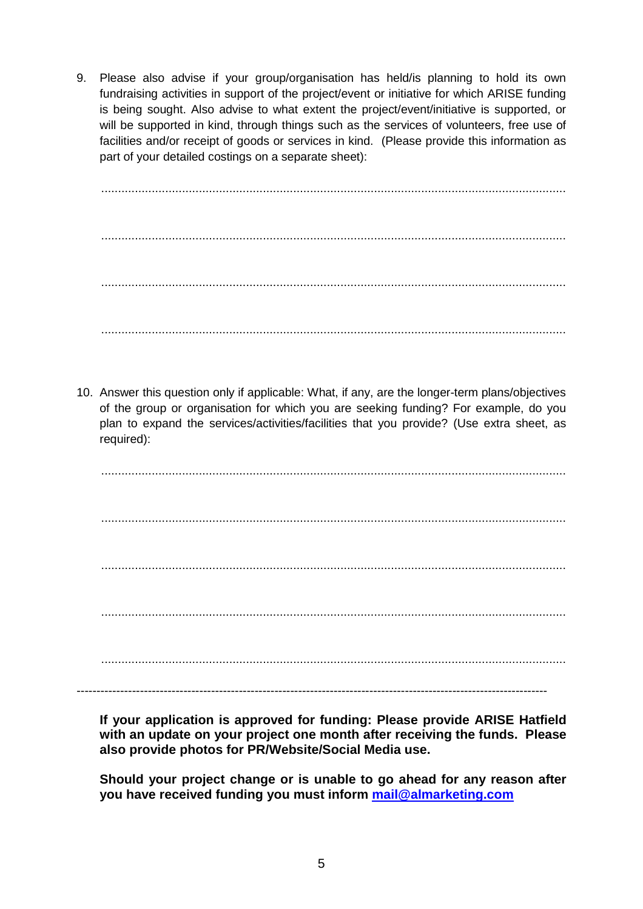9. Please also advise if your group/organisation has held/is planning to hold its own fundraising activities in support of the project/event or initiative for which ARISE funding is being sought. Also advise to what extent the project/event/initiative is supported, or will be supported in kind, through things such as the services of volunteers, free use of facilities and/or receipt of goods or services in kind. (Please provide this information as part of your detailed costings on a separate sheet):

.......................................................................................................................................... .......................................................................................................................................... .......................................................................................................................................... ..........................................................................................................................................

10. Answer this question only if applicable: What, if any, are the longer-term plans/objectives of the group or organisation for which you are seeking funding? For example, do you plan to expand the services/activities/facilities that you provide? (Use extra sheet, as required):

.......................................................................................................................................... .......................................................................................................................................... .......................................................................................................................................... .......................................................................................................................................... .......................................................................................................................................... -----------------------------------------------------------------------------------------------------------------------

**If your application is approved for funding: Please provide ARISE Hatfield with an update on your project one month after receiving the funds. Please also provide photos for PR/Website/Social Media use.**

**Should your project change or is unable to go ahead for any reason after you have received funding you must inform mail@almarketing.com**